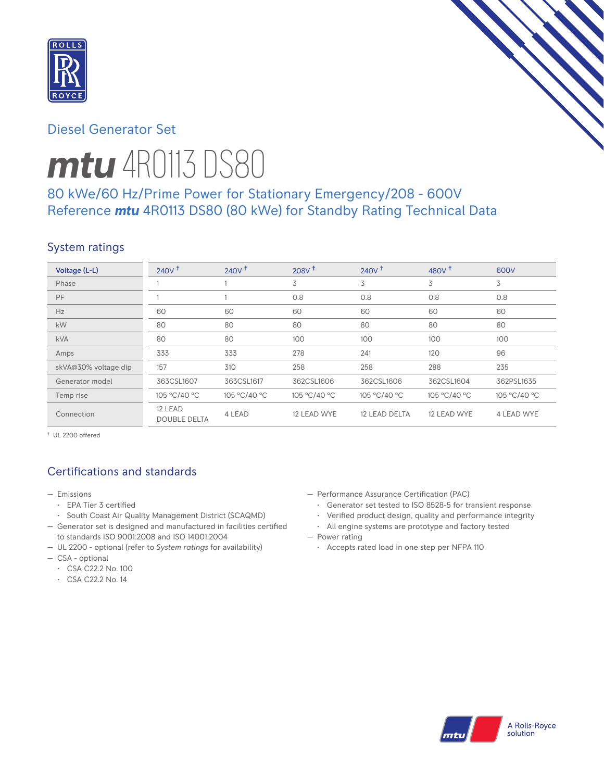

# Diesel Generator Set

# *mtu* 4R0113 DS80

# 80 kWe/60 Hz/Prime Power for Stationary Emergency/208 - 600V Reference *mtu* 4R0113 DS80 (80 kWe) for Standby Rating Technical Data

# System ratings

| Voltage (L-L)        | 240V <sup>†</sup>              | 240V <sup>†</sup> | 208V <sup>†</sup> | 240V <sup>†</sup> | 480V <sup>†</sup> | 600V              |
|----------------------|--------------------------------|-------------------|-------------------|-------------------|-------------------|-------------------|
| Phase                |                                |                   | 3                 | 3                 | 3                 | 3                 |
| PF                   |                                |                   | 0.8               | 0.8               | 0.8               | 0.8               |
| Hz                   | 60                             | 60                | 60                | 60                | 60                | 60                |
| kW                   | 80                             | 80                | 80                | 80                | 80                | 80                |
| <b>kVA</b>           | 80                             | 80                | 100               | 100               | 100               | 100               |
| Amps                 | 333                            | 333               | 278               | 241               | 120               | 96                |
| skVA@30% voltage dip | 157                            | 310               | 258               | 258               | 288               | 235               |
| Generator model      | 363CSL1607                     | 363CSL1617        | 362CSL1606        | 362CSL1606        | 362CSL1604        | 362PSL1635        |
| Temp rise            | 105 °C/40 °C                   | 105 °C/40 °C      | 105 °C/40 °C      | 105 °C/40 °C      | 105 °C/40 °C      | 105 °C/40 °C      |
| Connection           | 12 LEAD<br><b>DOUBLE DELTA</b> | 4 LEAD            | 12 LEAD WYE       | 12 LEAD DELTA     | 12 LEAD WYE       | <b>4 LEAD WYE</b> |

† UL 2200 offered

# Certifications and standards

- Emissions
	- EPA Tier 3 certified
	- South Coast Air Quality Management District (SCAQMD)
- Generator set is designed and manufactured in facilities certified to standards ISO 9001:2008 and ISO 14001:2004
- UL 2200 optional (refer to *System ratings* for availability)
- CSA optional
	- CSA C22.2 No. 100
	- CSA C22.2 No. 14
- Performance Assurance Certification (PAC)
	- Generator set tested to ISO 8528-5 for transient response
	- Verified product design, quality and performance integrity
	- All engine systems are prototype and factory tested
- Power rating
	- Accepts rated load in one step per NFPA 110

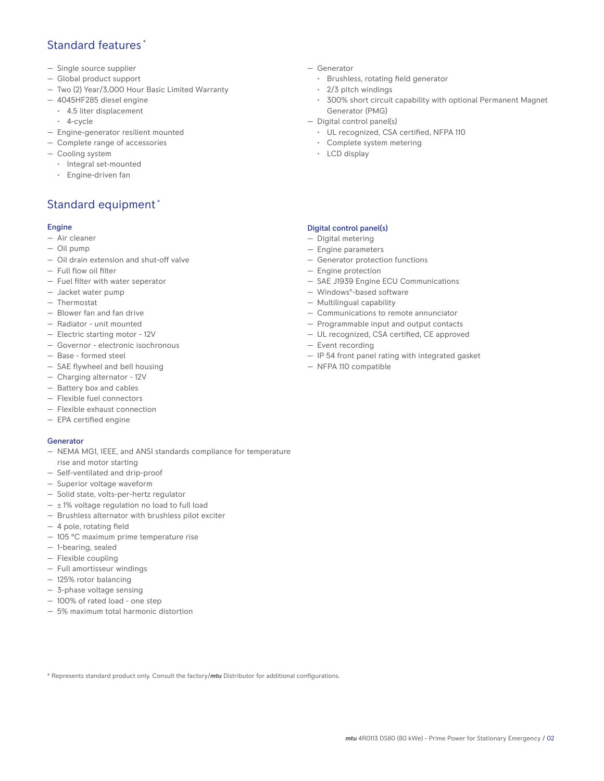# Standard features \*

- Single source supplier
- Global product support
- Two (2) Year/3,000 Hour Basic Limited Warranty
- 4045HF285 diesel engine
	- 4.5 liter displacement
	- 4-cycle
- Engine-generator resilient mounted
- Complete range of accessories
- Cooling system
	- Integral set-mounted
	- Engine-driven fan

# Standard equipment \*

### Engine

- Air cleaner
- Oil pump
- Oil drain extension and shut-off valve
- Full flow oil filter
- Fuel filter with water seperator
- Jacket water pump
- Thermostat
- Blower fan and fan drive
- Radiator unit mounted
- Electric starting motor 12V
- Governor electronic isochronous
- Base formed steel
- SAE flywheel and bell housing
- Charging alternator 12V
- Battery box and cables
- Flexible fuel connectors
- Flexible exhaust connection
- EPA certified engine

### Generator

- NEMA MG1, IEEE, and ANSI standards compliance for temperature rise and motor starting
- Self-ventilated and drip-proof
- Superior voltage waveform
- Solid state, volts-per-hertz regulator
- $\pm$  1% voltage regulation no load to full load
- Brushless alternator with brushless pilot exciter
- 4 pole, rotating field
- 105 °C maximum prime temperature rise
- 1-bearing, sealed
- Flexible coupling
- Full amortisseur windings
- 125% rotor balancing
- 3-phase voltage sensing
- 100% of rated load one step
- 5% maximum total harmonic distortion
- Generator
	- Brushless, rotating field generator
	- 2/3 pitch windings
	- 300% short circuit capability with optional Permanent Magnet Generator (PMG)
- Digital control panel(s)
	- UL recognized, CSA certified, NFPA 110
	- Complete system metering
	- LCD display

### Digital control panel(s)

- Digital metering
- Engine parameters
- Generator protection functions
- Engine protection
- SAE J1939 Engine ECU Communications
- Windows®-based software
- Multilingual capability
- Communications to remote annunciator
- Programmable input and output contacts
- UL recognized, CSA certified, CE approved
- Event recording
- IP 54 front panel rating with integrated gasket
- NFPA 110 compatible

\* Represents standard product only. Consult the factory/*mtu* Distributor for additional configurations.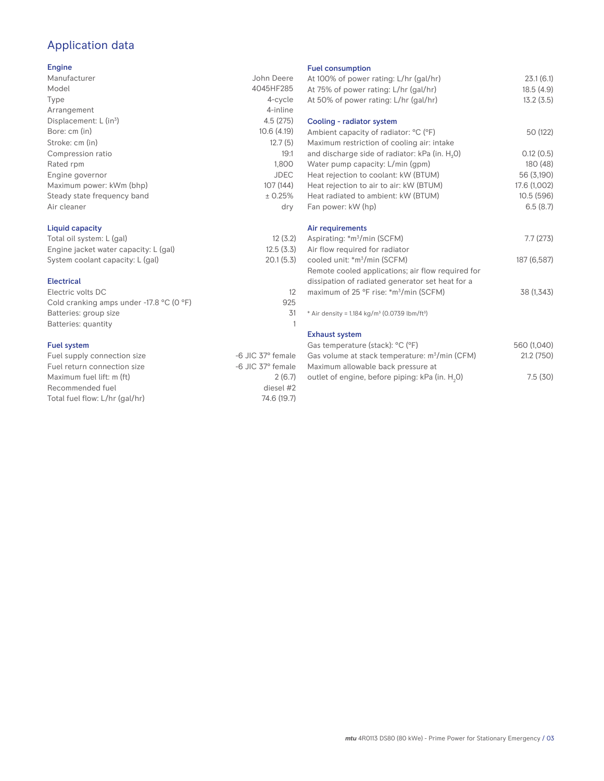# Application data

### Engine

| Manufacturer                         | John Deere  |
|--------------------------------------|-------------|
| Model                                | 4045HF285   |
| Type                                 | 4-cycle     |
| Arrangement                          | 4-inline    |
| Displacement: $L$ (in <sup>3</sup> ) | 4.5(275)    |
| Bore: cm (in)                        | 10.6(4.19)  |
| Stroke: cm (in)                      | 12.7(5)     |
| Compression ratio                    | 19:1        |
| Rated rpm                            | 1,800       |
| Engine governor                      | <b>JDEC</b> |
| Maximum power: kWm (bhp)             | 107 (144)   |
| Steady state frequency band          | ± 0.25%     |
| Air cleaner                          | dry         |
|                                      |             |

### Liquid capacity

| Total oil system: L (gal)             | 12(3.2)   |
|---------------------------------------|-----------|
| Engine jacket water capacity: L (gal) | 12.5(3.3) |
| System coolant capacity: L (gal)      | 20.1(5.3) |

### Electrical

| Electric volts DC                                            |     |
|--------------------------------------------------------------|-----|
| Cold cranking amps under -17.8 $^{\circ}$ C (O $^{\circ}$ F) | 925 |
| Batteries: group size                                        | .31 |
| Batteries: quantity                                          |     |
|                                                              |     |

### Fuel system

| -6 JIC 37° female |
|-------------------|
| -6 JIC 37° female |
| 2(6.7)            |
| diesel #2         |
| 74.6 (19.7)       |
|                   |

### Fuel consumption

| At 100% of power rating: L/hr (gal/hr)<br>At 75% of power rating: L/hr (gal/hr)<br>At 50% of power rating: L/hr (gal/hr) | 23.1(6.1)<br>18.5(4.9)<br>13.2(3.5) |
|--------------------------------------------------------------------------------------------------------------------------|-------------------------------------|
| Cooling - radiator system                                                                                                |                                     |
| Ambient capacity of radiator: °C (°F)<br>Maximum restriction of cooling air: intake                                      | 50 (122)                            |
| and discharge side of radiator: kPa (in. H <sub>2</sub> O)                                                               | 0.12(0.5)                           |
| Water pump capacity: L/min (gpm)                                                                                         | 180 (48)                            |
| Heat rejection to coolant: kW (BTUM)                                                                                     | 56 (3,190)                          |
| Heat rejection to air to air: kW (BTUM)                                                                                  | 17.6 (1,002)                        |
| Heat radiated to ambient: kW (BTUM)                                                                                      | 10.5 (596)                          |
| Fan power: kW (hp)                                                                                                       | 6.5(8.7)                            |
| Air requirements                                                                                                         |                                     |
| Aspirating: *m <sup>3</sup> /min (SCFM)                                                                                  | 7.7(273)                            |
| Air flow required for radiator                                                                                           |                                     |
| cooled unit: *m <sup>3</sup> /min (SCFM)                                                                                 | 187 (6,587)                         |
| Remote cooled applications; air flow required for                                                                        |                                     |
| dissipation of radiated generator set heat for a                                                                         |                                     |
| maximum of 25 °F rise: *m <sup>3</sup> /min (SCFM)                                                                       | 38 (1,343)                          |
| * Air density = $1.184 \text{ kg/m}^3$ (0.0739 lbm/ft <sup>3</sup> )                                                     |                                     |
| <b>Exhaust system</b>                                                                                                    |                                     |
| Gas temperature (stack): °C (°F)                                                                                         | 560 (1,040)                         |
| Gas volume at stack temperature: m <sup>3</sup> /min (CFM)<br>Maximum allowable back pressure at                         | 21.2 (750)                          |
| outlet of engine, before piping: kPa (in. H <sub>2</sub> 0)                                                              | 7.5(30)                             |
|                                                                                                                          |                                     |